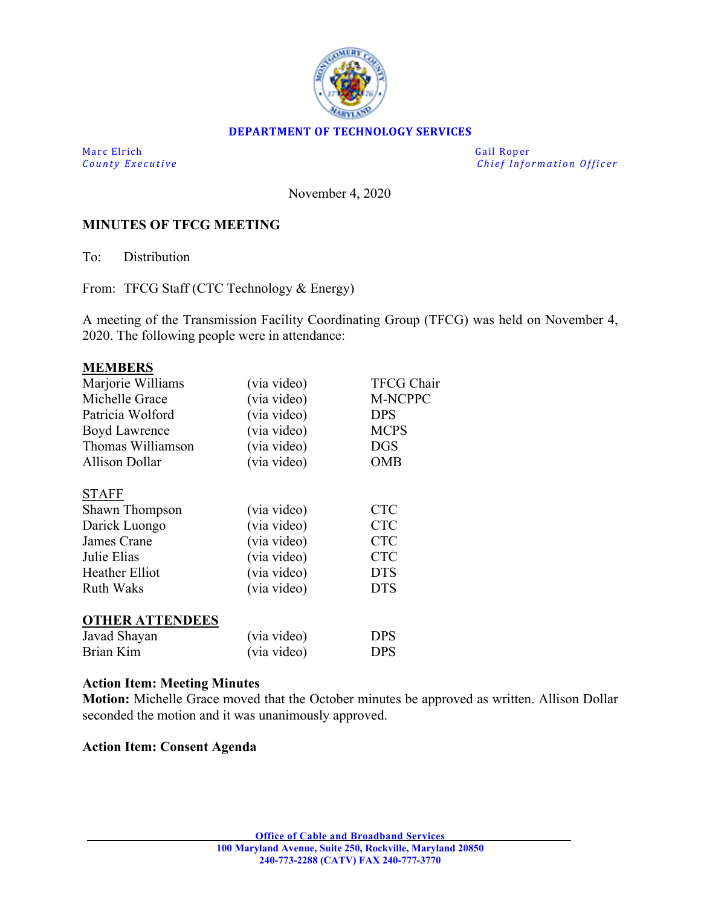

## **DEPARTMENT OF TECHNOLOGY SERVICES**

Marc Elrich Gail Roper

*County Executive Chief Information O fficer*

November 4, 2020

## **MINUTES OF TFCG MEETING**

To: Distribution

From: TFCG Staff (CTC Technology & Energy)

A meeting of the Transmission Facility Coordinating Group (TFCG) was held on November 4, 2020. The following people were in attendance:

| <b>MEMBERS</b>         |             |                |
|------------------------|-------------|----------------|
| Marjorie Williams      | (via video) | TFCG Chair     |
| Michelle Grace         | (via video) | <b>M-NCPPC</b> |
| Patricia Wolford       | (via video) | <b>DPS</b>     |
| <b>Boyd Lawrence</b>   | (via video) | <b>MCPS</b>    |
| Thomas Williamson      | (via video) | <b>DGS</b>     |
| Allison Dollar         | (via video) | OMB            |
| <b>STAFF</b>           |             |                |
| Shawn Thompson         | (via video) | <b>CTC</b>     |
| Darick Luongo          | (via video) | <b>CTC</b>     |
| James Crane            | (via video) | <b>CTC</b>     |
| Julie Elias            | (via video) | <b>CTC</b>     |
| Heather Elliot         | (via video) | <b>DTS</b>     |
| Ruth Waks              | (via video) | <b>DTS</b>     |
| <b>OTHER ATTENDEES</b> |             |                |
| Javad Shayan           | (via video) | <b>DPS</b>     |
| Brian Kim              | (via video) | DPS            |

## **Action Item: Meeting Minutes**

**Motion:** Michelle Grace moved that the October minutes be approved as written. Allison Dollar seconded the motion and it was unanimously approved.

**Action Item: Consent Agenda**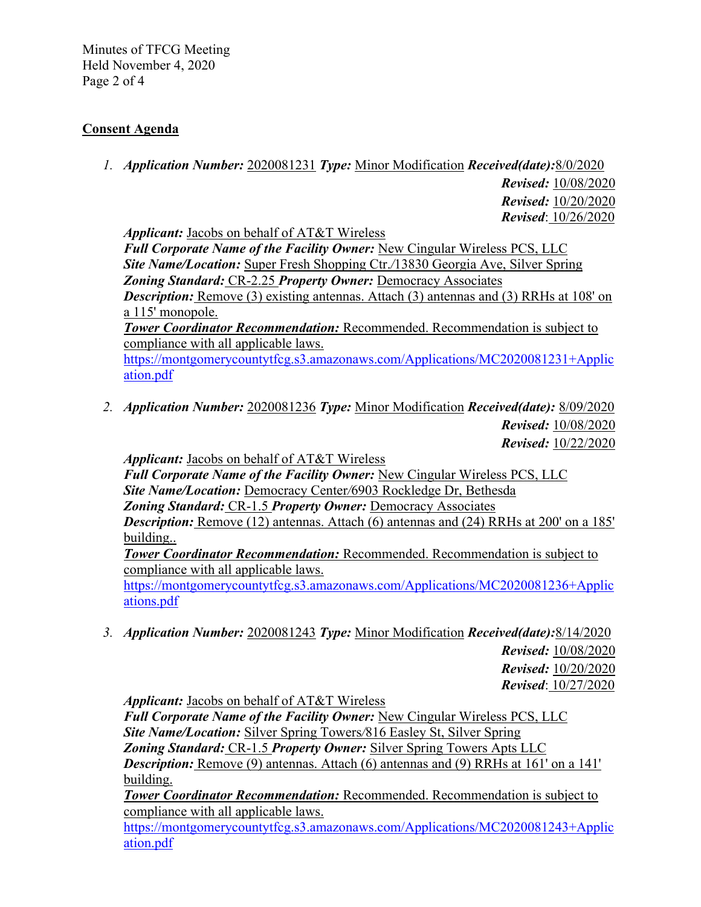Minutes of TFCG Meeting Held November 4, 2020 Page 2 of 4

## **Consent Agenda**

*1. Application Number:* 2020081231 *Type:* Minor Modification *Received(date):*8/0/2020

 *Revised:* 10/08/2020  *Revised:* 10/20/2020 *Revised*: 10/26/2020

*Applicant:* Jacobs on behalf of AT&T Wireless

*Full Corporate Name of the Facility Owner:* New Cingular Wireless PCS, LLC *Site Name/Location:* Super Fresh Shopping Ctr.*/*13830 Georgia Ave, Silver Spring *Zoning Standard:* CR-2.25 *Property Owner:* Democracy Associates *Description:* Remove (3) existing antennas. Attach (3) antennas and (3) RRHs at 108' on

a 115' monopole.

*Tower Coordinator Recommendation:* Recommended. Recommendation is subject to compliance with all applicable laws.

[https://montgomerycountytfcg.s3.amazonaws.com/Applications/MC2020081231+Applic](https://montgomerycountytfcg.s3.amazonaws.com/Applications/MC2020081231+Application.pdf) [ation.pdf](https://montgomerycountytfcg.s3.amazonaws.com/Applications/MC2020081231+Application.pdf)

*2. Application Number:* 2020081236 *Type:* Minor Modification *Received(date):* 8/09/2020 *Revised:* 10/08/2020  *Revised:* 10/22/2020

*Applicant:* Jacobs on behalf of AT&T Wireless

*Full Corporate Name of the Facility Owner:* New Cingular Wireless PCS, LLC *Site Name/Location:* Democracy Center*/*6903 Rockledge Dr, Bethesda *Zoning Standard:* CR-1.5 *Property Owner:* Democracy Associates

**Description:** Remove (12) antennas. Attach (6) antennas and (24) RRHs at 200' on a 185' building..

*Tower Coordinator Recommendation:* Recommended. Recommendation is subject to compliance with all applicable laws.

[https://montgomerycountytfcg.s3.amazonaws.com/Applications/MC2020081236+Applic](https://montgomerycountytfcg.s3.amazonaws.com/Applications/MC2020081236+Applications.pdf) [ations.pdf](https://montgomerycountytfcg.s3.amazonaws.com/Applications/MC2020081236+Applications.pdf)

*3. Application Number:* 2020081243 *Type:* Minor Modification *Received(date):*8/14/2020 *Revised:* 10/08/2020

 *Revised:* 10/20/2020 *Revised*: 10/27/2020

*Applicant:* Jacobs on behalf of AT&T Wireless

*Full Corporate Name of the Facility Owner:* New Cingular Wireless PCS, LLC *Site Name/Location:* Silver Spring Towers*/*816 Easley St, Silver Spring *Zoning Standard:* CR-1.5 *Property Owner:* Silver Spring Towers Apts LLC **Description:** Remove (9) antennas. Attach (6) antennas and (9) RRHs at 161' on a 141' building.

*Tower Coordinator Recommendation:* Recommended. Recommendation is subject to compliance with all applicable laws.

[https://montgomerycountytfcg.s3.amazonaws.com/Applications/MC2020081243+Applic](https://montgomerycountytfcg.s3.amazonaws.com/Applications/MC2020081243+Application.pdf) [ation.pdf](https://montgomerycountytfcg.s3.amazonaws.com/Applications/MC2020081243+Application.pdf)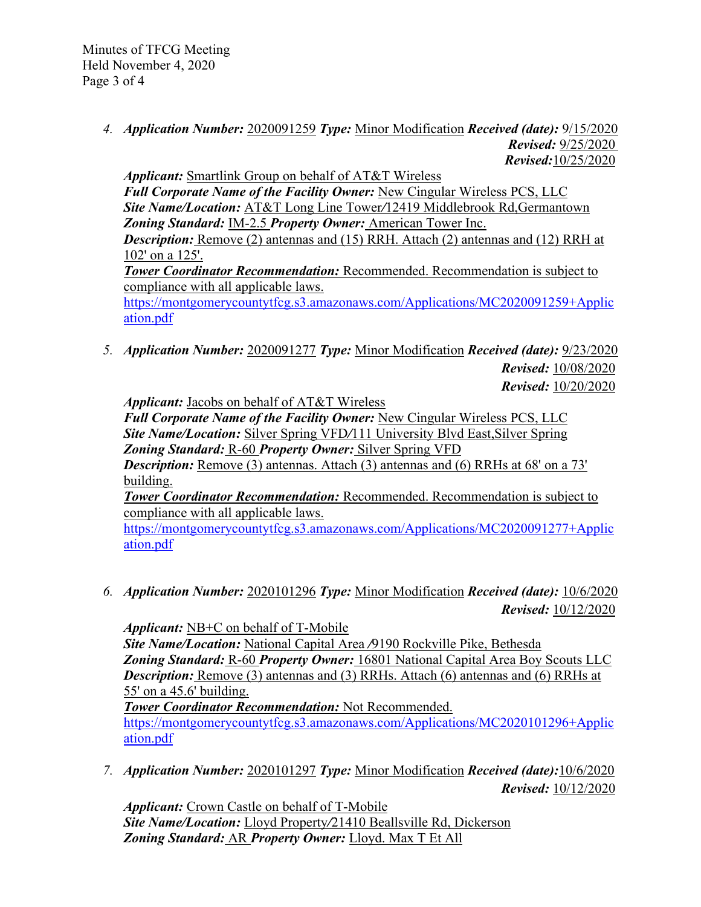Minutes of TFCG Meeting Held November 4, 2020 Page 3 of 4

> *4. Application Number:* 2020091259 *Type:* Minor Modification *Received (date):* 9/15/2020 *Revised:* 9/25/2020 *Revised:*10/25/2020

*Applicant:* Smartlink Group on behalf of AT&T Wireless *Full Corporate Name of the Facility Owner:* New Cingular Wireless PCS, LLC *Site Name/Location:* AT&T Long Line Tower*/*12419 Middlebrook Rd,Germantown *Zoning Standard:* IM-2.5 *Property Owner:* American Tower Inc. *Description:* Remove (2) antennas and (15) RRH. Attach (2) antennas and (12) RRH at 102' on a 125'. *Tower Coordinator Recommendation:* Recommended. Recommendation is subject to compliance with all applicable laws. [https://montgomerycountytfcg.s3.amazonaws.com/Applications/MC2020091259+Applic](https://montgomerycountytfcg.s3.amazonaws.com/Applications/MC2020091259+Application.pdf) [ation.pdf](https://montgomerycountytfcg.s3.amazonaws.com/Applications/MC2020091259+Application.pdf)

*5. Application Number:* 2020091277 *Type:* Minor Modification *Received (date):* 9/23/2020 *Revised:* 10/08/2020

 *Revised:* 10/20/2020

*Applicant:* Jacobs on behalf of AT&T Wireless

*Full Corporate Name of the Facility Owner:* New Cingular Wireless PCS, LLC *Site Name/Location:* Silver Spring VFD*/*111 University Blvd East,Silver Spring *Zoning Standard:* R-60 *Property Owner:* Silver Spring VFD

*Description:* Remove (3) antennas. Attach (3) antennas and (6) RRHs at 68' on a 73' building.

*Tower Coordinator Recommendation:* Recommended. Recommendation is subject to compliance with all applicable laws.

[https://montgomerycountytfcg.s3.amazonaws.com/Applications/MC2020091277+Applic](https://montgomerycountytfcg.s3.amazonaws.com/Applications/MC2020091277+Application.pdf) [ation.pdf](https://montgomerycountytfcg.s3.amazonaws.com/Applications/MC2020091277+Application.pdf)

*6. Application Number:* 2020101296 *Type:* Minor Modification *Received (date):* 10/6/2020 *Revised:* 10/12/2020

*Applicant:* NB+C on behalf of T-Mobile *Site Name/Location:* National Capital Area */*9190 Rockville Pike, Bethesda *Zoning Standard:* R-60 *Property Owner:* 16801 National Capital Area Boy Scouts LLC *Description:* Remove (3) antennas and (3) RRHs. Attach (6) antennas and (6) RRHs at 55' on a 45.6' building. *Tower Coordinator Recommendation:* Not Recommended.

[https://montgomerycountytfcg.s3.amazonaws.com/Applications/MC2020101296+Applic](https://montgomerycountytfcg.s3.amazonaws.com/Applications/MC2020101296+Application.pdf) [ation.pdf](https://montgomerycountytfcg.s3.amazonaws.com/Applications/MC2020101296+Application.pdf)

*7. Application Number:* 2020101297 *Type:* Minor Modification *Received (date):*10/6/2020 *Revised:* 10/12/2020

*Applicant:* Crown Castle on behalf of T-Mobile *Site Name/Location:* Lloyd Property*/*21410 Beallsville Rd, Dickerson *Zoning Standard:* AR *Property Owner:* Lloyd. Max T Et All